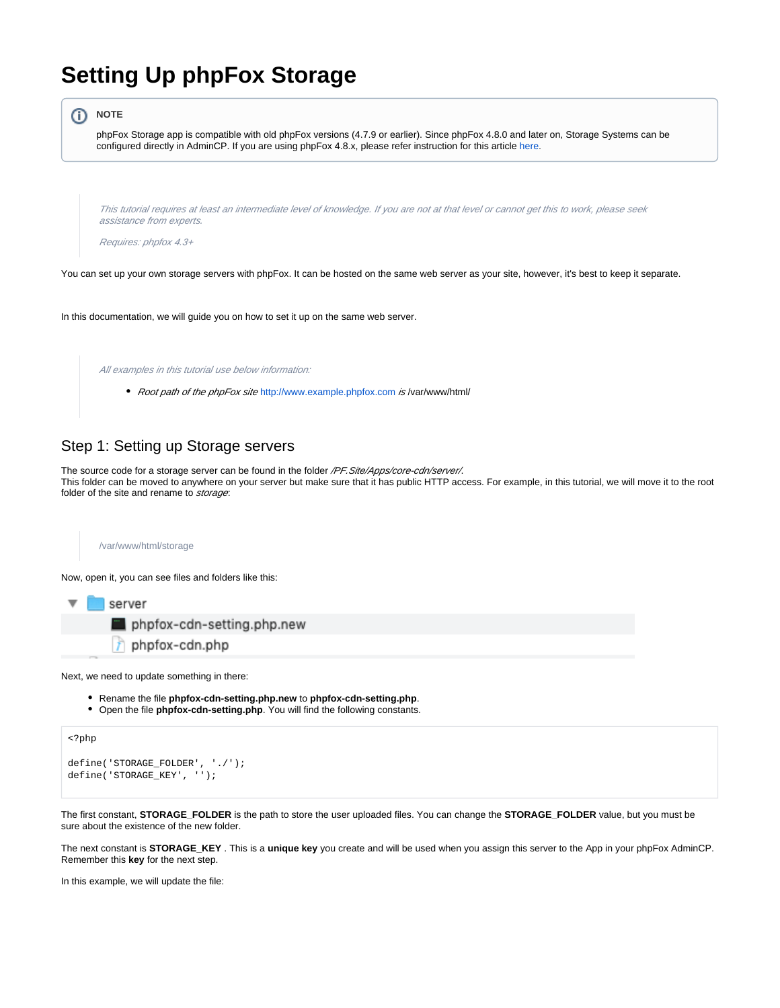## **Setting Up phpFox Storage**

```
①
       NOTE
        phpFox Storage app is compatible with old phpFox versions (4.7.9 or earlier). Since phpFox 4.8.0 and later on, Storage Systems can be 
        configured directly in AdminCP. If you are using phpFox 4.8.x, please refer instruction for this article here.This tutorial requires at least an intermediate level of knowledge. If you are not at that level or cannot get this to work, please seek 
         assistance from experts.
         Requires: phpfox 4.3+
You can set up your own storage servers with phpFox. It can be hosted on the same web server as your site, however, it's best to keep it separate.
```
In this documentation, we will guide you on how to set it up on the same web server.

All examples in this tutorial use below information:

• Root path of the phpFox site <http://www.example.phpfox.com> is /var/www/html/

## Step 1: Setting up Storage servers

The source code for a storage server can be found in the folder /PF. Site/Apps/core-cdn/server/. This folder can be moved to anywhere on your server but make sure that it has public HTTP access. For example, in this tutorial, we will move it to the root folder of the site and rename to *storage*:



Now, open it, you can see files and folders like this:



Next, we need to update something in there:

- Rename the file **phpfox-cdn-setting.php.new** to **phpfox-cdn-setting.php**.
- Open the file **phpfox-cdn-setting.php**. You will find the following constants.

```
define('STORAGE_FOLDER', './');
define('STORAGE_KEY', '');
```
<?php

The first constant, **STORAGE\_FOLDER** is the path to store the user uploaded files. You can change the **STORAGE\_FOLDER** value, but you must be sure about the existence of the new folder.

The next constant is **STORAGE\_KEY** . This is a **unique key** you create and will be used when you assign this server to the App in your phpFox AdminCP. Remember this **key** for the next step.

In this example, we will update the file: